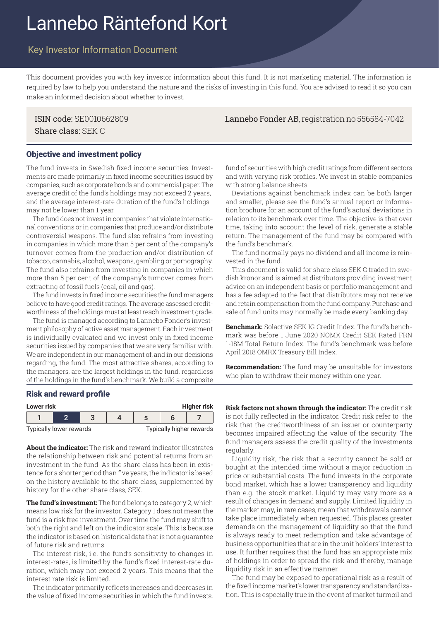# Lannebo Räntefond Kort

# Key Investor Information Document

This document provides you with key investor information about this fund. It is not marketing material. The information is required by law to help you understand the nature and the risks of investing in this fund. You are advised to read it so you can make an informed decision about whether to invest.

Share class: SEK C

ISIN code: SE0010662809 Lannebo Fonder AB, registration no 556584-7042

# Objective and investment policy

The fund invests in Swedish fixed income securities. Investments are made primarily in fixed income securities issued by companies, such as corporate bonds and commercial paper. The average credit of the fund's holdings may not exceed 2 years, and the average interest-rate duration of the fund's holdings may not be lower than 1 year.

The fund does not invest in companies that violate international conventions or in companies that produce and/or distribute controversial weapons. The fund also refrains from investing in companies in which more than 5 per cent of the company's turnover comes from the production and/or distribution of tobacco, cannabis, alcohol, weapons, gambling or pornography. The fund also refrains from investing in companies in which more than 5 per cent of the company's turnover comes from extracting of fossil fuels (coal, oil and gas).

The fund invests in fixed income securities the fund managers believe to have good credit ratings. The average assessed creditworthiness of the holdings must at least reach investment grade.

The fund is managed according to Lannebo Fonder's investment philosophy of active asset management. Each investment is individually evaluated and we invest only in fixed income securities issued by companies that we are very familiar with. We are independent in our management of, and in our decisions regarding, the fund. The most attractive shares, according to the managers, are the largest holdings in the fund, regardless of the holdings in the fund's benchmark. We build a composite

# Risk and reward profile

| <b>Higher risk</b><br><b>Lower risk</b> |  |  |  |  |   |  |  |
|-----------------------------------------|--|--|--|--|---|--|--|
|                                         |  |  |  |  |   |  |  |
| $\cdots$                                |  |  |  |  | . |  |  |

Typically lower rewards Typically higher rewards

**About the indicator:** The risk and reward indicator illustrates the relationship between risk and potential returns from an investment in the fund. As the share class has been in existence for a shorter period than five years, the indicator is based on the history available to the share class, supplemented by history for the other share class, SEK.

**The fund's investment:** The fund belongs to category 2, which means low risk for the investor. Category 1 does not mean the fund is a risk free investment. Over time the fund may shift to both the right and left on the indicator scale. This is because the indicator is based on historical data that is not a guarantee of future risk and returns

The interest risk, i.e. the fund's sensitivity to changes in interest-rates, is limited by the fund's fixed interest-rate duration, which may not exceed 2 years. This means that the interest rate risk is limited.

The indicator primarily reflects increases and decreases in the value of fixed income securities in which the fund invests.

fund of securities with high credit ratings from different sectors and with varying risk profiles. We invest in stable companies with strong balance sheets.

Deviations against benchmark index can be both larger and smaller, please see the fund's annual report or information brochure for an account of the fund's actual deviations in relation to its benchmark over time. The objective is that over time, taking into account the level of risk, generate a stable return. The management of the fund may be compared with the fund's benchmark.

The fund normally pays no dividend and all income is reinvested in the fund.

This document is valid for share class SEK C traded in swedish kronor and is aimed at distributors providing investment advice on an independent basis or portfolio management and has a fee adapted to the fact that distributors may not receive and retain compensation from the fund company. Purchase and sale of fund units may normally be made every banking day.

**Benchmark:** Solactive SEK IG Credit Index. The fund's benchmark was before 1 June 2020 NOMX Credit SEK Rated FRN 1-18M Total Return Index. The fund's benchmark was before April 2018 OMRX Treasury Bill Index.

**Recommendation:** The fund may be unsuitable for investors who plan to withdraw their money within one year.

**Risk factors not shown through the indicator:** The credit risk is not fully reflected in the indicator. Credit risk refer to the risk that the creditworthiness of an issuer or counterparty becomes impaired affecting the value of the security. The fund managers assess the credit quality of the investments regularly.

Liquidity risk, the risk that a security cannot be sold or bought at the intended time without a major reduction in price or substantial costs. The fund invests in the corporate bond market, which has a lower transparency and liquidity than e.g. the stock market. Liquidity may vary more as a result of changes in demand and supply. Limited liquidity in the market may, in rare cases, mean that withdrawals cannot take place immediately when requested. This places greater demands on the management of liquidity so that the fund is always ready to meet redemption and take advantage of business opportunities that are in the unit holders' interest to use. It further requires that the fund has an appropriate mix of holdings in order to spread the risk and thereby, manage liquidity risk in an effective manner.

The fund may be exposed to operational risk as a result of the fixed income market's lower transparency and standardization. This is especially true in the event of market turmoil and